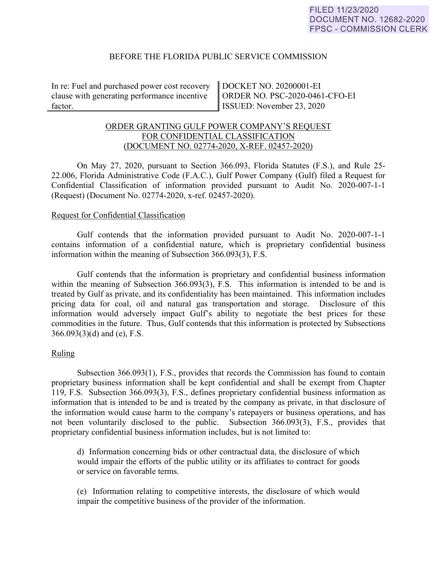# BEFORE THE FLORIDA PUBLIC SERVICE COMMISSION

In re: Fuel and purchased power cost recovery clause with generating performance incentive factor.

DOCKET NO. 20200001-EI ORDER NO. PSC-2020-0461-CFO-EI ISSUED: November 23, 2020

# ORDER GRANTING GULF POWER COMPANY'S REQUEST FOR CONFIDENTIAL CLASSIFICATION (DOCUMENT NO. 02774-2020, X-REF. 02457-2020)

On May 27, 2020, pursuant to Section 366.093, Florida Statutes (F.S.), and Rule 25- 22.006, Florida Administrative Code (F.A.C.), Gulf Power Company (Gulf) filed a Request for Confidential Classification of information provided pursuant to Audit No. 2020-007-1-1 (Request) (Document No. 02774-2020, x-ref. 02457-2020).

### Request for Confidential Classification

Gulf contends that the information provided pursuant to Audit No. 2020-007-1-1 contains information of a confidential nature, which is proprietary confidential business information within the meaning of Subsection 366.093(3), F.S.

Gulf contends that the information is proprietary and confidential business information within the meaning of Subsection 366.093(3), F.S. This information is intended to be and is treated by Gulf as private, and its confidentiality has been maintained. This information includes pricing data for coal, oil and natural gas transportation and storage. Disclosure of this information would adversely impact Gulf's ability to negotiate the best prices for these commodities in the future. Thus, Gulf contends that this information is protected by Subsections 366.093(3)(d) and (e), F.S.

### Ruling

Subsection 366.093(1), F.S., provides that records the Commission has found to contain proprietary business information shall be kept confidential and shall be exempt from Chapter 119, F.S. Subsection 366.093(3), F.S., defines proprietary confidential business information as information that is intended to be and is treated by the company as private, in that disclosure of the information would cause harm to the company's ratepayers or business operations, and has not been voluntarily disclosed to the public. Subsection 366.093(3), F.S., provides that proprietary confidential business information includes, but is not limited to:

d) Information concerning bids or other contractual data, the disclosure of which would impair the efforts of the public utility or its affiliates to contract for goods or service on favorable terms.

(e) Information relating to competitive interests, the disclosure of which would impair the competitive business of the provider of the information.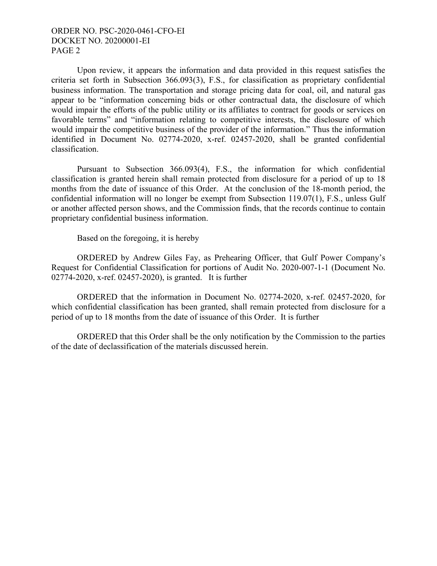# ORDER NO. PSC-2020-0461-CFO-EI DOCKET NO. 20200001-EI PAGE 2

Upon review, it appears the information and data provided in this request satisfies the criteria set forth in Subsection 366.093(3), F.S., for classification as proprietary confidential business information. The transportation and storage pricing data for coal, oil, and natural gas appear to be "information concerning bids or other contractual data, the disclosure of which would impair the efforts of the public utility or its affiliates to contract for goods or services on favorable terms" and "information relating to competitive interests, the disclosure of which would impair the competitive business of the provider of the information." Thus the information identified in Document No. 02774-2020, x-ref. 02457-2020, shall be granted confidential classification.

Pursuant to Subsection 366.093(4), F.S., the information for which confidential classification is granted herein shall remain protected from disclosure for a period of up to 18 months from the date of issuance of this Order. At the conclusion of the 18-month period, the confidential information will no longer be exempt from Subsection 119.07(1), F.S., unless Gulf or another affected person shows, and the Commission finds, that the records continue to contain proprietary confidential business information.

Based on the foregoing, it is hereby

ORDERED by Andrew Giles Fay, as Prehearing Officer, that Gulf Power Company's Request for Confidential Classification for portions of Audit No. 2020-007-1-1 (Document No. 02774-2020, x-ref. 02457-2020), is granted. It is further

ORDERED that the information in Document No. 02774-2020, x-ref. 02457-2020, for which confidential classification has been granted, shall remain protected from disclosure for a period of up to 18 months from the date of issuance of this Order. It is further

ORDERED that this Order shall be the only notification by the Commission to the parties of the date of declassification of the materials discussed herein.